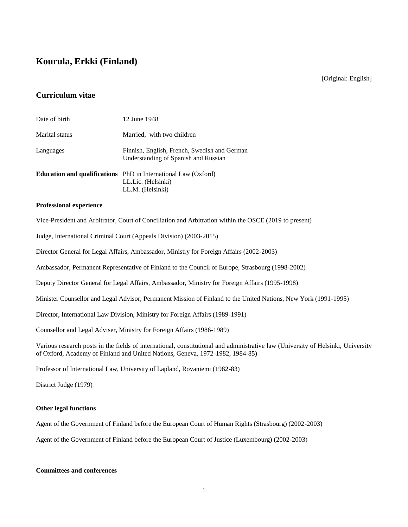# **Kourula, Erkki (Finland)**

[Original: English]

## **Curriculum vitae**

| Date of birth  | 12 June 1948                                                                                                    |
|----------------|-----------------------------------------------------------------------------------------------------------------|
| Marital status | Married, with two children                                                                                      |
| Languages      | Finnish, English, French, Swedish and German<br>Understanding of Spanish and Russian                            |
|                | <b>Education and qualifications</b> PhD in International Law (Oxford)<br>LL.Lic. (Helsinki)<br>LL.M. (Helsinki) |

#### **Professional experience**

Vice-President and Arbitrator, Court of Conciliation and Arbitration within the OSCE (2019 to present)

Judge, International Criminal Court (Appeals Division) (2003-2015)

Director General for Legal Affairs, Ambassador, Ministry for Foreign Affairs (2002-2003)

Ambassador, Permanent Representative of Finland to the Council of Europe, Strasbourg (1998-2002)

Deputy Director General for Legal Affairs, Ambassador, Ministry for Foreign Affairs (1995-1998)

Minister Counsellor and Legal Advisor, Permanent Mission of Finland to the United Nations, New York (1991-1995)

Director, International Law Division, Ministry for Foreign Affairs (1989-1991)

Counsellor and Legal Adviser, Ministry for Foreign Affairs (1986-1989)

Various research posts in the fields of international, constitutional and administrative law (University of Helsinki, University of Oxford, Academy of Finland and United Nations, Geneva, 1972-1982, 1984-85)

Professor of International Law, University of Lapland, Rovaniemi (1982-83)

District Judge (1979)

### **Other legal functions**

Agent of the Government of Finland before the European Court of Human Rights (Strasbourg) (2002-2003)

Agent of the Government of Finland before the European Court of Justice (Luxembourg) (2002-2003)

#### **Committees and conferences**